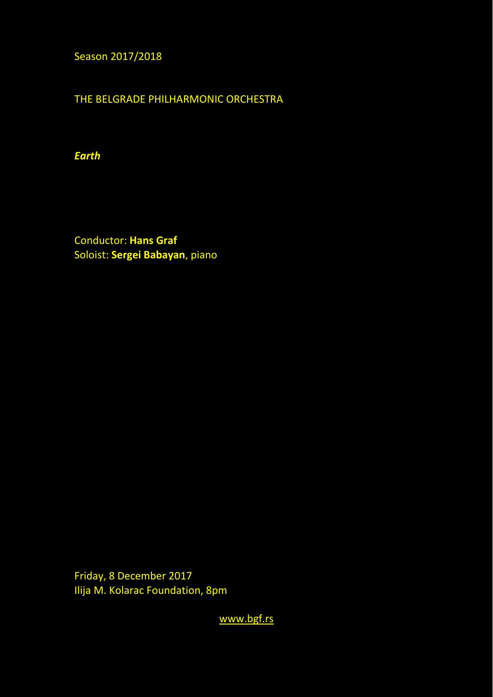Season 2017/2018

THE BELGRADE PHILHARMONIC ORCHESTRA

*Earth* 

Conductor: **Hans Graf** Soloist: **Sergei Babayan**, piano

Friday, 8 December 2017 Ilija M. Kolarac Foundation, 8pm

[www.bgf.rs](http://www.bgf.rs/)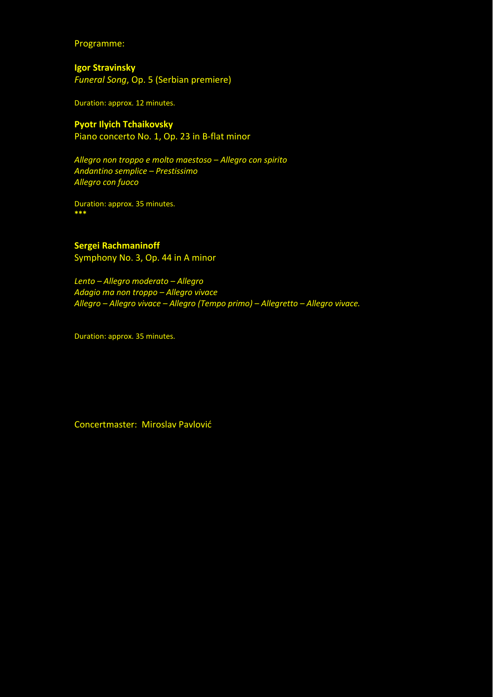Programme:

**Igor Stravinsky** *Funeral Song*, Op. 5 (Serbian premiere)

Duration: approx. 12 minutes.

## **Pyotr Ilyich Tchaikovsky**

Piano concerto No. 1, Op. 23 in B-flat minor

*Allegro non troppo e molto maestoso – Allegro con spirito Andantino semplice – Prestissimo Allegro con fuoco* 

Duration: approx. 35 minutes. **\*\*\*** 

## **Sergei Rachmaninoff**

Symphony No. 3, Op. 44 in A minor

*Lento – Allegro moderato – Allegro Adagio ma non troppo – Allegro vivace Allegro – Allegro vivace – Allegro (Tempo primo) – Allegretto – Allegro vivace.* 

Duration: approx. 35 minutes.

Concertmaster: Miroslav Pavlović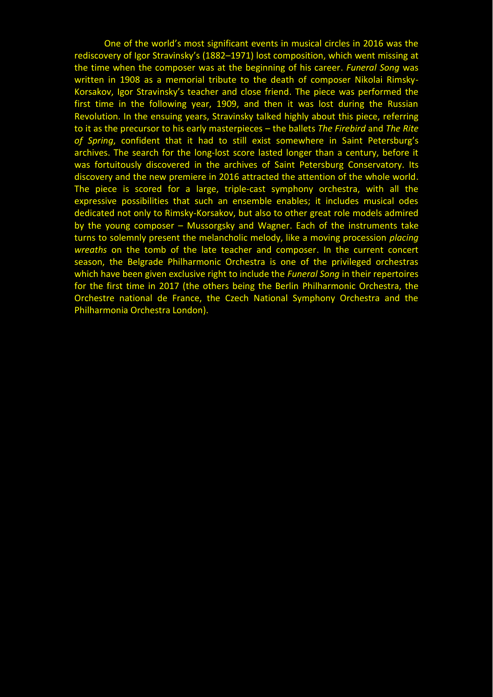One of the world's most significant events in musical circles in 2016 was the rediscovery of Igor Stravinsky's (1882–1971) lost composition, which went missing at the time when the composer was at the beginning of his career. *Funeral Song* was written in 1908 as a memorial tribute to the death of composer Nikolai Rimsky-Korsakov, Igor Stravinsky's teacher and close friend. The piece was performed the first time in the following year, 1909, and then it was lost during the Russian Revolution. In the ensuing years, Stravinsky talked highly about this piece, referring to it as the precursor to his early masterpieces – the ballets *The Firebird* and *The Rite of Spring*, confident that it had to still exist somewhere in Saint Petersburg's archives. The search for the long-lost score lasted longer than a century, before it was fortuitously discovered in the archives of Saint Petersburg Conservatory. Its discovery and the new premiere in 2016 attracted the attention of the whole world. The piece is scored for a large, triple-cast symphony orchestra, with all the expressive possibilities that such an ensemble enables; it includes musical odes dedicated not only to Rimsky-Korsakov, but also to other great role models admired by the young composer – Mussorgsky and Wagner. Each of the instruments take turns to solemnly present the melancholic melody, like a moving procession *placing wreaths* on the tomb of the late teacher and composer. In the current concert season, the Belgrade Philharmonic Orchestra is one of the privileged orchestras which have been given exclusive right to include the *Funeral Song* in their repertoires for the first time in 2017 (the others being the Berlin Philharmonic Orchestra, the Orchestre national de France, the Czech National Symphony Orchestra and the Philharmonia Orchestra London).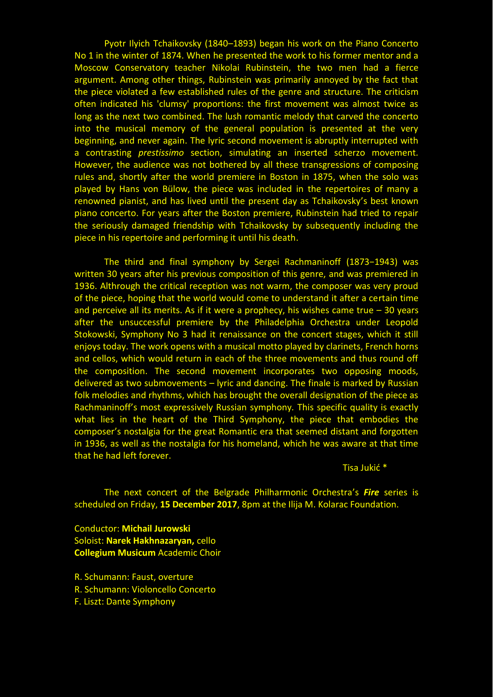Pyotr Ilyich Tchaikovsky (1840–1893) began his work on the Piano Concerto No 1 in the winter of 1874. When he presented the work to his former mentor and a Moscow Conservatory teacher Nikolai Rubinstein, the two men had a fierce argument. Among other things, Rubinstein was primarily annoyed by the fact that the piece violated a few established rules of the genre and structure. The criticism often indicated his 'clumsy' proportions: the first movement was almost twice as long as the next two combined. The lush romantic melody that carved the concerto into the musical memory of the general population is presented at the very beginning, and never again. The lyric second movement is abruptly interrupted with a contrasting *prestissimo* section, simulating an inserted scherzo movement*.*  However, the audience was not bothered by all these transgressions of composing rules and, shortly after the world premiere in Boston in 1875, when the solo was played by Hans von Bülow, the piece was included in the repertoires of many a renowned pianist, and has lived until the present day as Tchaikovsky's best known piano concerto. For years after the Boston premiere, Rubinstein had tried to repair the seriously damaged friendship with Tchaikovsky by subsequently including the piece in his repertoire and performing it until his death.

The third and final symphony by Sergei Rachmaninoff (1873-1943) was written 30 years after his previous composition of this genre, and was premiered in 1936. Althrough the critical reception was not warm, the composer was very proud of the piece, hoping that the world would come to understand it after a certain time and perceive all its merits. As if it were a prophecy, his wishes came true  $-30$  years after the unsuccessful premiere by the Philadelphia Orchestra under Leopold Stokowski, Symphony No 3 had it renaissance on the concert stages, which it still enjoys today. The work opens with a musical motto played by clarinets, French horns and cellos, which would return in each of the three movements and thus round off the composition. The second movement incorporates two opposing moods, delivered as two submovements – lyric and dancing. The finale is marked by Russian folk melodies and rhythms, which has brought the overall designation of the piece as Rachmaninoff's most expressively Russian symphony*.* This specific quality is exactly what lies in the heart of the Third Symphony, the piece that embodies the composer's nostalgia for the great Romantic era that seemed distant and forgotten in 1936, as well as the nostalgia for his homeland, which he was aware at that time that he had left forever.

Tisa Jukić \*

The next concert of the Belgrade Philharmonic Orchestra's *Fire* series is scheduled on Friday, **15 December 2017**, 8pm at the Ilija M. Kolarac Foundation.

Conductor: **Michail Jurowski** Soloist: **Narek Hakhnazaryan,** cello **Collegium Musicum** Academic Choir

R. Schumann: Faust, overture R. Schumann: Violoncello Concerto F. Liszt: Dante Symphony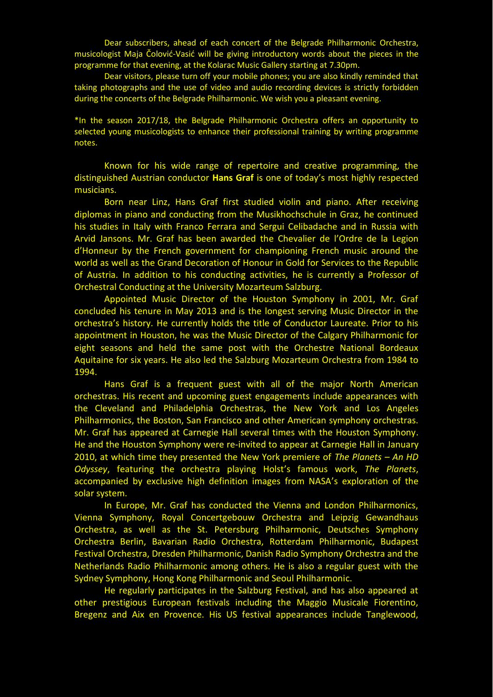Dear subscribers, ahead of each concert of the Belgrade Philharmonic Orchestra, musicologist Maja Čolović-Vasić will be giving introductory words about the pieces in the programme for that evening, at the Kolarac Music Gallery starting at 7.30pm.

Dear visitors, please turn off your mobile phones; you are also kindly reminded that taking photographs and the use of video and audio recording devices is strictly forbidden during the concerts of the Belgrade Philharmonic. We wish you a pleasant evening.

\*In the season 2017/18, the Belgrade Philharmonic Orchestra offers an opportunity to selected young musicologists to enhance their professional training by writing programme notes.

Known for his wide range of repertoire and creative programming, the distinguished Austrian conductor **Hans Graf** is one of today's most highly respected musicians.

Born near Linz, Hans Graf first studied violin and piano. After receiving diplomas in piano and conducting from the Musikhochschule in Graz, he continued his studies in Italy with Franco Ferrara and Sergui Celibadache and in Russia with Arvid Jansons. Mr. Graf has been awarded the Chevalier de l'Ordre de la Legion d'Honneur by the French government for championing French music around the world as well as the Grand Decoration of Honour in Gold for Services to the Republic of Austria. In addition to his conducting activities, he is currently a Professor of Orchestral Conducting at the University Mozarteum Salzburg.

Appointed Music Director of the Houston Symphony in 2001, Mr. Graf concluded his tenure in May 2013 and is the longest serving Music Director in the orchestra's history. He currently holds the title of Conductor Laureate. Prior to his appointment in Houston, he was the Music Director of the Calgary Philharmonic for eight seasons and held the same post with the Orchestre National Bordeaux Aquitaine for six years. He also led the Salzburg Mozarteum Orchestra from 1984 to 1994.

Hans Graf is a frequent guest with all of the major North American orchestras. His recent and upcoming guest engagements include appearances with the Cleveland and Philadelphia Orchestras, the New York and Los Angeles Philharmonics, the Boston, San Francisco and other American symphony orchestras. Mr. Graf has appeared at Carnegie Hall several times with the Houston Symphony. He and the Houston Symphony were re-invited to appear at Carnegie Hall in January 2010, at which time they presented the New York premiere of *The Planets – An HD Odyssey*, featuring the orchestra playing Holst's famous work, *The Planets*, accompanied by exclusive high definition images from NASA's exploration of the solar system.

In Europe, Mr. Graf has conducted the Vienna and London Philharmonics, Vienna Symphony, Royal Concertgebouw Orchestra and Leipzig Gewandhaus Orchestra, as well as the St. Petersburg Philharmonic, Deutsches Symphony Orchestra Berlin, Bavarian Radio Orchestra, Rotterdam Philharmonic, Budapest Festival Orchestra, Dresden Philharmonic, Danish Radio Symphony Orchestra and the Netherlands Radio Philharmonic among others. He is also a regular guest with the Sydney Symphony, Hong Kong Philharmonic and Seoul Philharmonic.

He regularly participates in the Salzburg Festival, and has also appeared at other prestigious European festivals including the Maggio Musicale Fiorentino, Bregenz and Aix en Provence. His US festival appearances include Tanglewood,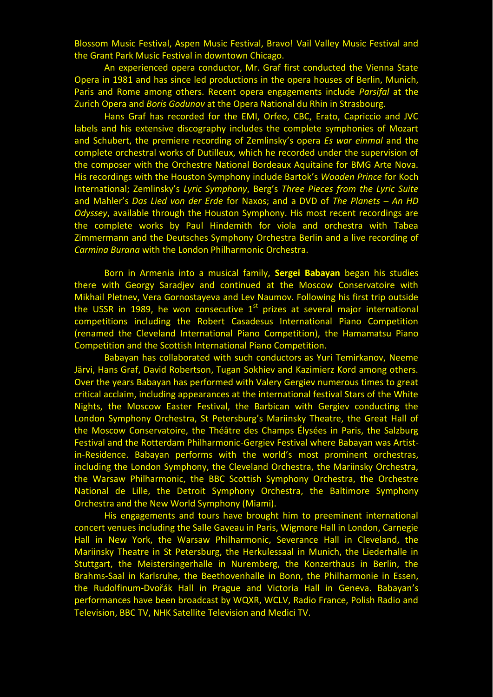Blossom Music Festival, Aspen Music Festival, Bravo! Vail Valley Music Festival and the Grant Park Music Festival in downtown Chicago.

An experienced opera conductor, Mr. Graf first conducted the Vienna State Opera in 1981 and has since led productions in the opera houses of Berlin, Munich, Paris and Rome among others. Recent opera engagements include *Parsifal* at the Zurich Opera and *Boris Godunov* at the Opera National du Rhin in Strasbourg.

Hans Graf has recorded for the EMI, Orfeo, CBC, Erato, Capriccio and JVC labels and his extensive discography includes the complete symphonies of Mozart and Schubert, the premiere recording of Zemlinsky's opera *Es war einmal* and the complete orchestral works of Dutilleux, which he recorded under the supervision of the composer with the Orchestre National Bordeaux Aquitaine for BMG Arte Nova. His recordings with the Houston Symphony include Bartok's *Wooden Prince* for Koch International; Zemlinsky's *Lyric Symphony*, Berg's *Three Pieces from the Lyric Suite* and Mahler's *Das Lied von der Erde* for Naxos; and a DVD of *The Planets - An HD Odyssey*, available through the Houston Symphony. His most recent recordings are the complete works by Paul Hindemith for viola and orchestra with Tabea Zimmermann and the Deutsches Symphony Orchestra Berlin and a live recording of *Carmina Burana* with the London Philharmonic Orchestra.

Born in Armenia into a musical family, **Sergei Babayan** began his studies there with Georgy Saradjev and continued at the Moscow Conservatoire with Mikhail Pletnev, Vera Gornostayeva and Lev Naumov. Following his first trip outside the USSR in 1989, he won consecutive  $1<sup>st</sup>$  prizes at several major international competitions including the Robert Casadesus International Piano Competition (renamed the Cleveland International Piano Competition), the Hamamatsu Piano Competition and the Scottish International Piano Competition.

Babayan has collaborated with such conductors as Yuri Temirkanov, Neeme Järvi, Hans Graf, David Robertson, Tugan Sokhiev and Kazimierz Kord among others. Over the years Babayan has performed with Valery Gergiev numerous times to great critical acclaim, including appearances at the international festival Stars of the White Nights, the Moscow Easter Festival, the Barbican with Gergiev conducting the London Symphony Orchestra, St Petersburg's Mariinsky Theatre, the Great Hall of the Moscow Conservatoire, the Théâtre des Champs Élysées in Paris, the Salzburg Festival and the Rotterdam Philharmonic-Gergiev Festival where Babayan was Artistin-Residence. Babayan performs with the world's most prominent orchestras, including the London Symphony, the Cleveland Orchestra, the Mariinsky Orchestra, the Warsaw Philharmonic, the BBC Scottish Symphony Orchestra, the Orchestre National de Lille, the Detroit Symphony Orchestra, the Baltimore Symphony Orchestra and the New World Symphony (Miami).

His engagements and tours have brought him to preeminent international concert venues including the Salle Gaveau in Paris, Wigmore Hall in London, Carnegie Hall in New York, the Warsaw Philharmonic, Severance Hall in Cleveland, the Mariinsky Theatre in St Petersburg, the Herkulessaal in Munich, the Liederhalle in Stuttgart, the Meistersingerhalle in Nuremberg, the Konzerthaus in Berlin, the Brahms-Saal in Karlsruhe, the Beethovenhalle in Bonn, the Philharmonie in Essen, the Rudolfinum-Dvořák Hall in Prague and Victoria Hall in Geneva. Babayan's performances have been broadcast by WQXR, WCLV, Radio France, Polish Radio and Television, BBC TV, NHK Satellite Television and Medici TV.